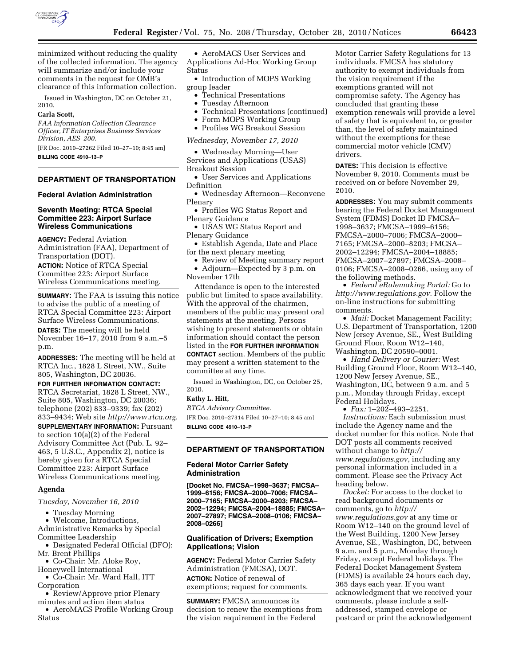

minimized without reducing the quality of the collected information. The agency will summarize and/or include your comments in the request for OMB's clearance of this information collection.

Issued in Washington, DC on October 21, 2010.

#### **Carla Scott,**

*FAA Information Collection Clearance Officer, IT Enterprises Business Services Division, AES–200.* 

[FR Doc. 2010–27262 Filed 10–27–10; 8:45 am]

**BILLING CODE 4910–13–P** 

## **DEPARTMENT OF TRANSPORTATION**

#### **Federal Aviation Administration**

### **Seventh Meeting: RTCA Special Committee 223: Airport Surface Wireless Communications**

**AGENCY:** Federal Aviation Administration (FAA), Department of Transportation (DOT). **ACTION:** Notice of RTCA Special Committee 223: Airport Surface Wireless Communications meeting.

**SUMMARY:** The FAA is issuing this notice to advise the public of a meeting of RTCA Special Committee 223: Airport Surface Wireless Communications. **DATES:** The meeting will be held November 16–17, 2010 from 9 a.m.–5 p.m.

**ADDRESSES:** The meeting will be held at RTCA Inc., 1828 L Street, NW., Suite 805, Washington, DC 20036.

**FOR FURTHER INFORMATION CONTACT:**  RTCA Secretariat, 1828 L Street, NW., Suite 805, Washington, DC 20036; telephone (202) 833–9339; fax (202) 833–9434; Web site *[http://www.rtca.org.](http://www.rtca.org)*  **SUPPLEMENTARY INFORMATION: Pursuant** to section 10(a)(2) of the Federal Advisory Committee Act (Pub. L. 92– 463, 5 U.S.C., Appendix 2), notice is hereby given for a RTCA Special Committee 223: Airport Surface Wireless Communications meeting.

#### **Agenda**

*Tuesday, November 16, 2010* 

• Tuesday Morning

• Welcome, Introductions, Administrative Remarks by Special Committee Leadership

- Designated Federal Official (DFO): Mr. Brent Phillips
- Co-Chair: Mr. Aloke Roy,
- Honeywell International • Co-Chair: Mr. Ward Hall, ITT
- Corporation • Review/Approve prior Plenary
- minutes and action item status • AeroMACS Profile Working Group
- Status

• AeroMACS User Services and Applications Ad-Hoc Working Group Status

• Introduction of MOPS Working group leader

- Technical Presentations
- Tuesday Afternoon
- Technical Presentations (continued)
- Form MOPS Working Group
- Profiles WG Breakout Session

*Wednesday, November 17, 2010* 

• Wednesday Morning—User Services and Applications (USAS) Breakout Session

• User Services and Applications Definition

• Wednesday Afternoon—Reconvene Plenary

• Profiles WG Status Report and Plenary Guidance

• USAS WG Status Report and Plenary Guidance

• Establish Agenda, Date and Place for the next plenary meeting

• Review of Meeting summary report • Adjourn—Expected by 3 p.m. on

November 17th

Attendance is open to the interested public but limited to space availability. With the approval of the chairmen, members of the public may present oral statements at the meeting. Persons wishing to present statements or obtain information should contact the person listed in the **FOR FURTHER INFORMATION CONTACT** section. Members of the public may present a written statement to the committee at any time.

Issued in Washington, DC, on October 25, 2010.

**Kathy L. Hitt,** 

*RTCA Advisory Committee.* 

[FR Doc. 2010–27314 Filed 10–27–10; 8:45 am] **BILLING CODE 4910–13–P** 

# **DEPARTMENT OF TRANSPORTATION**

## **Federal Motor Carrier Safety Administration**

**[Docket No. FMCSA–1998–3637; FMCSA– 1999–6156; FMCSA–2000–7006; FMCSA– 2000–7165; FMCSA–2000–8203; FMCSA– 2002–12294; FMCSA–2004–18885; FMCSA– 2007–27897; FMCSA–2008–0106; FMCSA– 2008–0266]** 

### **Qualification of Drivers; Exemption Applications; Vision**

**AGENCY:** Federal Motor Carrier Safety Administration (FMCSA), DOT. **ACTION:** Notice of renewal of exemptions; request for comments.

**SUMMARY:** FMCSA announces its decision to renew the exemptions from the vision requirement in the Federal

Motor Carrier Safety Regulations for 13 individuals. FMCSA has statutory authority to exempt individuals from the vision requirement if the exemptions granted will not compromise safety. The Agency has concluded that granting these exemption renewals will provide a level of safety that is equivalent to, or greater than, the level of safety maintained without the exemptions for these commercial motor vehicle (CMV) drivers.

**DATES:** This decision is effective November 9, 2010. Comments must be received on or before November 29, 2010.

**ADDRESSES:** You may submit comments bearing the Federal Docket Management System (FDMS) Docket ID FMCSA– 1998–3637; FMCSA–1999–6156; FMCSA–2000–7006; FMCSA–2000– 7165; FMCSA–2000–8203; FMCSA– 2002–12294; FMCSA–2004–18885; FMCSA–2007–27897; FMCSA–2008– 0106; FMCSA–2008–0266, using any of the following methods.

• *Federal eRulemaking Portal:* Go to *[http://www.regulations.gov.](http://www.regulations.gov)* Follow the on-line instructions for submitting comments.

• *Mail:* Docket Management Facility; U.S. Department of Transportation, 1200 New Jersey Avenue, SE., West Building Ground Floor, Room W12–140, Washington, DC 20590–0001.

• *Hand Delivery or Courier:* West Building Ground Floor, Room W12–140, 1200 New Jersey Avenue, SE., Washington, DC, between 9 a.m. and 5 p.m., Monday through Friday, except Federal Holidays.

• *Fax:* 1–202–493–2251.

*Instructions:* Each submission must include the Agency name and the docket number for this notice. Note that DOT posts all comments received without change to *[http://](http://www.regulations.gov) [www.regulations.gov,](http://www.regulations.gov)* including any personal information included in a comment. Please see the Privacy Act heading below.

*Docket:* For access to the docket to read background documents or comments, go to *[http://](http://www.regulations.gov) [www.regulations.gov](http://www.regulations.gov)* at any time or Room W12–140 on the ground level of the West Building, 1200 New Jersey Avenue, SE., Washington, DC, between 9 a.m. and 5 p.m., Monday through Friday, except Federal holidays. The Federal Docket Management System (FDMS) is available 24 hours each day, 365 days each year. If you want acknowledgment that we received your comments, please include a selfaddressed, stamped envelope or postcard or print the acknowledgement